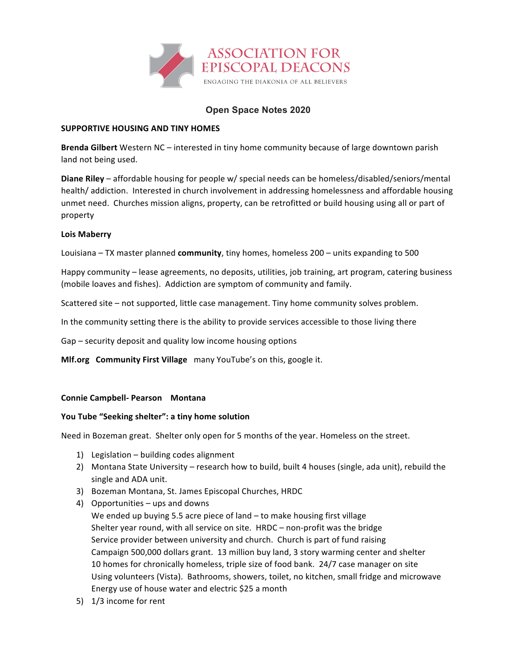

# **Open Space Notes 2020**

### **SUPPORTIVE HOUSING AND TINY HOMES**

**Brenda Gilbert** Western NC – interested in tiny home community because of large downtown parish land not being used.

**Diane Riley** – affordable housing for people w/ special needs can be homeless/disabled/seniors/mental health/ addiction. Interested in church involvement in addressing homelessness and affordable housing unmet need. Churches mission aligns, property, can be retrofitted or build housing using all or part of property

## **Lois Maberry**

Louisiana – TX master planned **community**, tiny homes, homeless 200 – units expanding to 500

Happy community – lease agreements, no deposits, utilities, job training, art program, catering business (mobile loaves and fishes). Addiction are symptom of community and family.

Scattered site – not supported, little case management. Tiny home community solves problem.

In the community setting there is the ability to provide services accessible to those living there

Gap – security deposit and quality low income housing options

**Mlf.org Community First Village** many YouTube's on this, google it.

### **Connie Campbell- Pearson Montana**

### You Tube "Seeking shelter": a tiny home solution

Need in Bozeman great. Shelter only open for 5 months of the year. Homeless on the street.

- 1) Legislation building codes alignment
- 2) Montana State University research how to build, built 4 houses (single, ada unit), rebuild the single and ADA unit.
- 3) Bozeman Montana, St. James Episcopal Churches, HRDC
- 4) Opportunities  $-$  ups and downs
- We ended up buying 5.5 acre piece of land  $-$  to make housing first village Shelter year round, with all service on site.  $HRDC$  – non-profit was the bridge Service provider between university and church. Church is part of fund raising Campaign 500,000 dollars grant. 13 million buy land, 3 story warming center and shelter 10 homes for chronically homeless, triple size of food bank. 24/7 case manager on site Using volunteers (Vista). Bathrooms, showers, toilet, no kitchen, small fridge and microwave Energy use of house water and electric \$25 a month
- 5) 1/3 income for rent